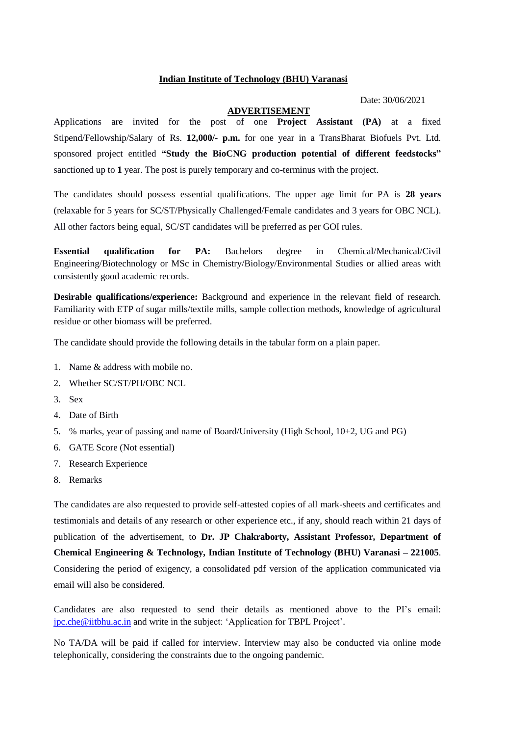## **Indian Institute of Technology (BHU) Varanasi**

Date: 30/06/2021

## **ADVERTISEMENT**

Applications are invited for the post of one **Project Assistant (PA)** at a fixed Stipend/Fellowship/Salary of Rs. **12,000/- p.m.** for one year in a TransBharat Biofuels Pvt. Ltd. sponsored project entitled **"Study the BioCNG production potential of different feedstocks"** sanctioned up to **1** year. The post is purely temporary and co-terminus with the project.

The candidates should possess essential qualifications. The upper age limit for PA is **28 years** (relaxable for 5 years for SC/ST/Physically Challenged/Female candidates and 3 years for OBC NCL). All other factors being equal, SC/ST candidates will be preferred as per GOI rules.

**Essential qualification for PA:** Bachelors degree in Chemical/Mechanical/Civil Engineering/Biotechnology or MSc in Chemistry/Biology/Environmental Studies or allied areas with consistently good academic records.

**Desirable qualifications/experience:** Background and experience in the relevant field of research. Familiarity with ETP of sugar mills/textile mills, sample collection methods, knowledge of agricultural residue or other biomass will be preferred.

The candidate should provide the following details in the tabular form on a plain paper.

- 1. Name & address with mobile no.
- 2. Whether SC/ST/PH/OBC NCL
- 3. Sex
- 4. Date of Birth
- 5. % marks, year of passing and name of Board/University (High School, 10+2, UG and PG)
- 6. GATE Score (Not essential)
- 7. Research Experience
- 8. Remarks

The candidates are also requested to provide self-attested copies of all mark-sheets and certificates and testimonials and details of any research or other experience etc., if any, should reach within 21 days of publication of the advertisement, to **Dr. JP Chakraborty, Assistant Professor, Department of Chemical Engineering & Technology, Indian Institute of Technology (BHU) Varanasi – 221005**. Considering the period of exigency, a consolidated pdf version of the application communicated via email will also be considered.

Candidates are also requested to send their details as mentioned above to the PI's email: [jpc.che@iitbhu.ac.in](mailto:jpc.che@iitbhu.ac.in) and write in the subject: 'Application for TBPL Project'.

No TA/DA will be paid if called for interview. Interview may also be conducted via online mode telephonically, considering the constraints due to the ongoing pandemic.